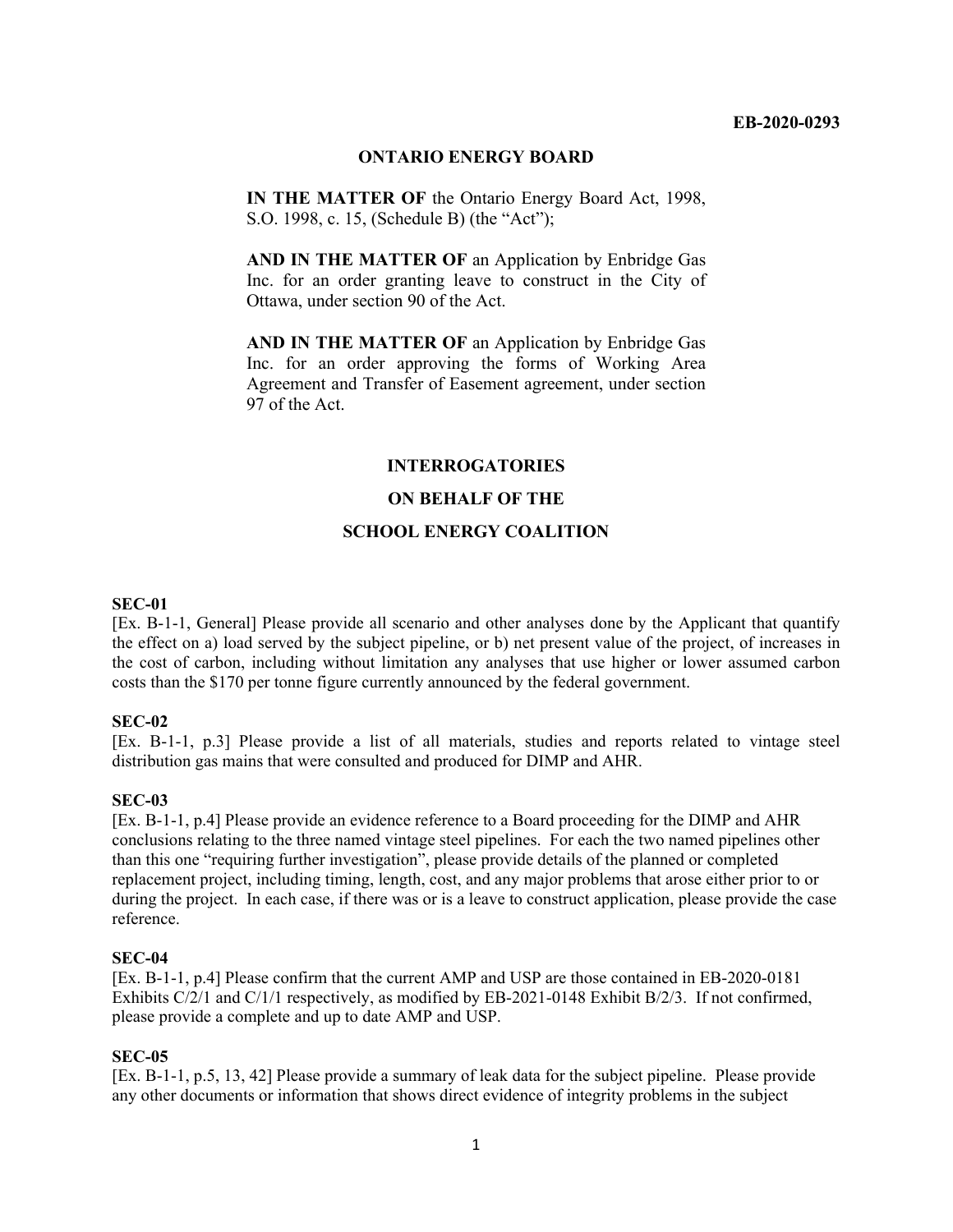#### **EB-2020-0293**

#### **ONTARIO ENERGY BOARD**

**IN THE MATTER OF** the Ontario Energy Board Act, 1998, S.O. 1998, c. 15, (Schedule B) (the "Act");

**AND IN THE MATTER OF** an Application by Enbridge Gas Inc. for an order granting leave to construct in the City of Ottawa, under section 90 of the Act.

**AND IN THE MATTER OF** an Application by Enbridge Gas Inc. for an order approving the forms of Working Area Agreement and Transfer of Easement agreement, under section 97 of the Act.

### **INTERROGATORIES**

### **ON BEHALF OF THE**

#### **SCHOOL ENERGY COALITION**

#### **SEC-01**

[Ex. B-1-1, General] Please provide all scenario and other analyses done by the Applicant that quantify the effect on a) load served by the subject pipeline, or b) net present value of the project, of increases in the cost of carbon, including without limitation any analyses that use higher or lower assumed carbon costs than the \$170 per tonne figure currently announced by the federal government.

#### **SEC-02**

[Ex. B-1-1, p.3] Please provide a list of all materials, studies and reports related to vintage steel distribution gas mains that were consulted and produced for DIMP and AHR.

#### **SEC-03**

[Ex. B-1-1, p.4] Please provide an evidence reference to a Board proceeding for the DIMP and AHR conclusions relating to the three named vintage steel pipelines. For each the two named pipelines other than this one "requiring further investigation", please provide details of the planned or completed replacement project, including timing, length, cost, and any major problems that arose either prior to or during the project. In each case, if there was or is a leave to construct application, please provide the case reference.

#### **SEC-04**

[Ex. B-1-1, p.4] Please confirm that the current AMP and USP are those contained in EB-2020-0181 Exhibits C/2/1 and C/1/1 respectively, as modified by EB-2021-0148 Exhibit B/2/3. If not confirmed, please provide a complete and up to date AMP and USP.

#### **SEC-05**

[Ex. B-1-1, p.5, 13, 42] Please provide a summary of leak data for the subject pipeline. Please provide any other documents or information that shows direct evidence of integrity problems in the subject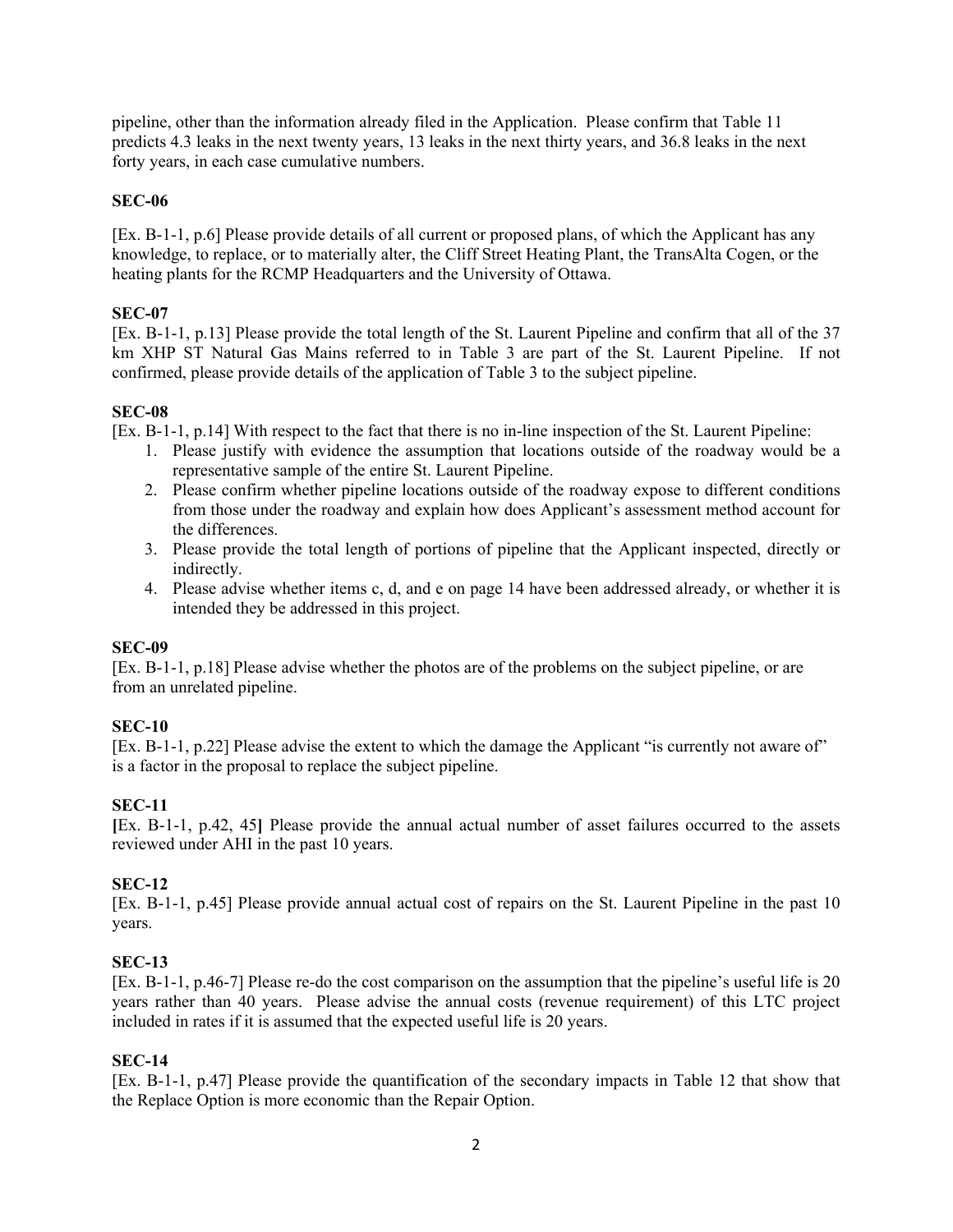pipeline, other than the information already filed in the Application. Please confirm that Table 11 predicts 4.3 leaks in the next twenty years, 13 leaks in the next thirty years, and 36.8 leaks in the next forty years, in each case cumulative numbers.

### **SEC-06**

[Ex. B-1-1, p.6] Please provide details of all current or proposed plans, of which the Applicant has any knowledge, to replace, or to materially alter, the Cliff Street Heating Plant, the TransAlta Cogen, or the heating plants for the RCMP Headquarters and the University of Ottawa.

### **SEC-07**

[Ex. B-1-1, p.13] Please provide the total length of the St. Laurent Pipeline and confirm that all of the 37 km XHP ST Natural Gas Mains referred to in Table 3 are part of the St. Laurent Pipeline. If not confirmed, please provide details of the application of Table 3 to the subject pipeline.

### **SEC-08**

[Ex. B-1-1, p.14] With respect to the fact that there is no in-line inspection of the St. Laurent Pipeline:

- 1. Please justify with evidence the assumption that locations outside of the roadway would be a representative sample of the entire St. Laurent Pipeline.
- 2. Please confirm whether pipeline locations outside of the roadway expose to different conditions from those under the roadway and explain how does Applicant's assessment method account for the differences.
- 3. Please provide the total length of portions of pipeline that the Applicant inspected, directly or indirectly.
- 4. Please advise whether items c, d, and e on page 14 have been addressed already, or whether it is intended they be addressed in this project.

### **SEC-09**

[Ex. B-1-1, p.18] Please advise whether the photos are of the problems on the subject pipeline, or are from an unrelated pipeline.

# **SEC-10**

[Ex. B-1-1, p.22] Please advise the extent to which the damage the Applicant "is currently not aware of" is a factor in the proposal to replace the subject pipeline.

# **SEC-11**

**[**Ex. B-1-1, p.42, 45**]** Please provide the annual actual number of asset failures occurred to the assets reviewed under AHI in the past 10 years.

# **SEC-12**

[Ex. B-1-1, p.45] Please provide annual actual cost of repairs on the St. Laurent Pipeline in the past 10 years.

# **SEC-13**

[Ex. B-1-1, p.46-7] Please re-do the cost comparison on the assumption that the pipeline's useful life is 20 years rather than 40 years. Please advise the annual costs (revenue requirement) of this LTC project included in rates if it is assumed that the expected useful life is 20 years.

# **SEC-14**

[Ex. B-1-1, p.47] Please provide the quantification of the secondary impacts in Table 12 that show that the Replace Option is more economic than the Repair Option.